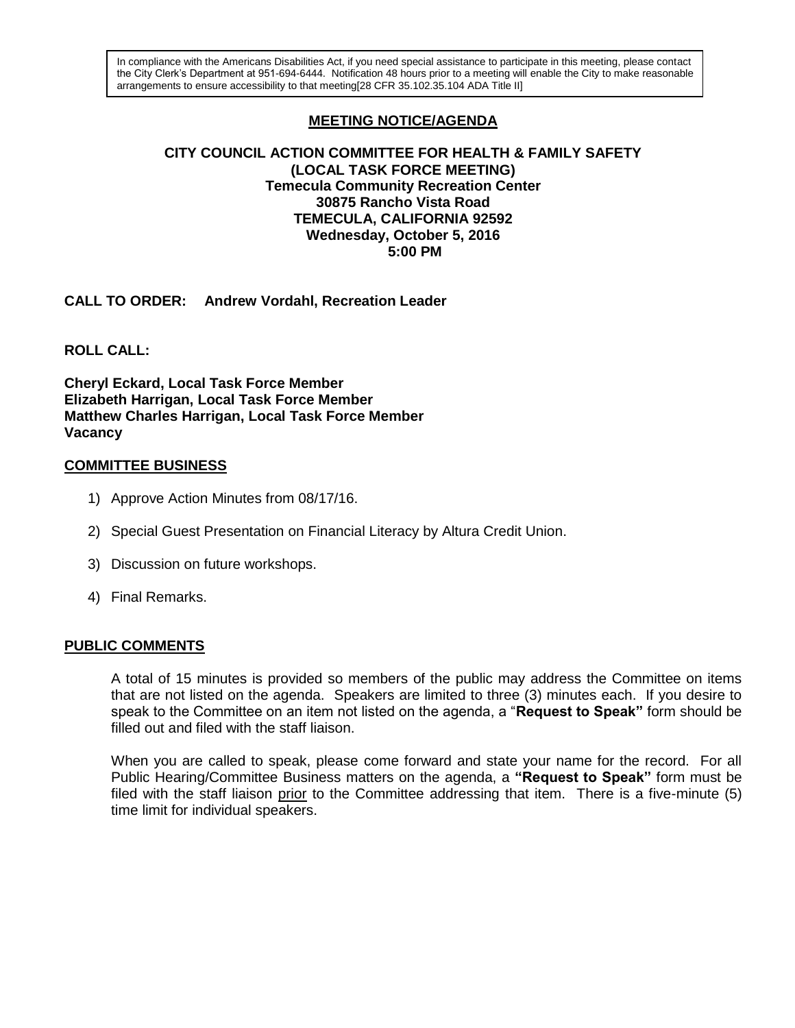In compliance with the Americans Disabilities Act, if you need special assistance to participate in this meeting, please contact the City Clerk's Department at 951-694-6444. Notification 48 hours prior to a meeting will enable the City to make reasonable arrangements to ensure accessibility to that meeting[28 CFR 35.102.35.104 ADA Title II]

# **MEETING NOTICE/AGENDA**

#### **CITY COUNCIL ACTION COMMITTEE FOR HEALTH & FAMILY SAFETY (LOCAL TASK FORCE MEETING) Temecula Community Recreation Center 30875 Rancho Vista Road TEMECULA, CALIFORNIA 92592 Wednesday, October 5, 2016 5:00 PM**

**CALL TO ORDER: Andrew Vordahl, Recreation Leader**

**ROLL CALL:** 

**Cheryl Eckard, Local Task Force Member Elizabeth Harrigan, Local Task Force Member Matthew Charles Harrigan, Local Task Force Member Vacancy**

### **COMMITTEE BUSINESS**

- 1) Approve Action Minutes from 08/17/16.
- 2) Special Guest Presentation on Financial Literacy by Altura Credit Union.
- 3) Discussion on future workshops.
- 4) Final Remarks.

### **PUBLIC COMMENTS**

A total of 15 minutes is provided so members of the public may address the Committee on items that are not listed on the agenda. Speakers are limited to three (3) minutes each. If you desire to speak to the Committee on an item not listed on the agenda, a "**Request to Speak"** form should be filled out and filed with the staff liaison.

When you are called to speak, please come forward and state your name for the record. For all Public Hearing/Committee Business matters on the agenda, a **"Request to Speak"** form must be filed with the staff liaison prior to the Committee addressing that item. There is a five-minute (5) time limit for individual speakers.